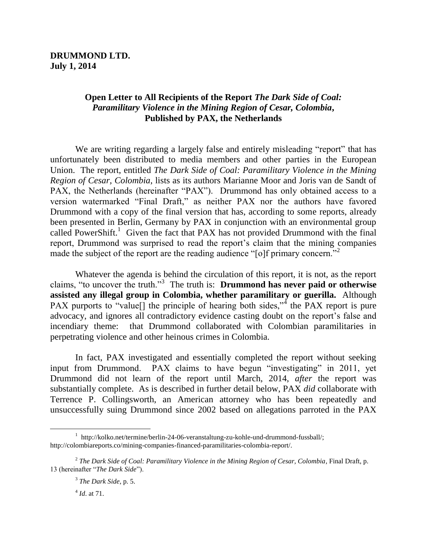# **Open Letter to All Recipients of the Report** *The Dark Side of Coal: Paramilitary Violence in the Mining Region of Cesar, Colombia***, Published by PAX, the Netherlands**

We are writing regarding a largely false and entirely misleading "report" that has unfortunately been distributed to media members and other parties in the European Union. The report, entitled *The Dark Side of Coal: Paramilitary Violence in the Mining Region of Cesar, Colombia*, lists as its authors Marianne Moor and Joris van de Sandt of PAX, the Netherlands (hereinafter "PAX"). Drummond has only obtained access to a version watermarked "Final Draft," as neither PAX nor the authors have favored Drummond with a copy of the final version that has, according to some reports, already been presented in Berlin, Germany by PAX in conjunction with an environmental group called PowerShift.<sup>1</sup> Given the fact that PAX has not provided Drummond with the final report, Drummond was surprised to read the report's claim that the mining companies made the subject of the report are the reading audience " $\lceil$ o]f primary concern."

Whatever the agenda is behind the circulation of this report, it is not, as the report claims, "to uncover the truth."<sup>3</sup> The truth is: **Drummond has never paid or otherwise assisted any illegal group in Colombia, whether paramilitary or guerilla.** Although PAX purports to "value<sup>[]</sup> the principle of hearing both sides,"<sup>4</sup> the PAX report is pure advocacy, and ignores all contradictory evidence casting doubt on the report's false and incendiary theme: that Drummond collaborated with Colombian paramilitaries in perpetrating violence and other heinous crimes in Colombia.

In fact, PAX investigated and essentially completed the report without seeking input from Drummond. PAX claims to have begun "investigating" in 2011, yet Drummond did not learn of the report until March, 2014, *after* the report was substantially complete. As is described in further detail below, PAX *did* collaborate with Terrence P. Collingsworth, an American attorney who has been repeatedly and unsuccessfully suing Drummond since 2002 based on allegations parroted in the PAX

4 *Id*. at 71.

<sup>&</sup>lt;sup>1</sup> [http://kolko.net/termine/berlin-24-06-veranstaltung-zu-kohle-und-drummond-fussball/;](http://kolko.net/termine/berlin-24-06-veranstaltung-zu-kohle-und-drummond-fussball/) [http://colombiareports.co/mining-companies-financed-paramilitaries-colombia-report/.](http://colombiareports.co/mining-companies-financed-paramilitaries-colombia-report/)

<sup>2</sup> *The Dark Side of Coal: Paramilitary Violence in the Mining Region of Cesar, Colombia*, Final Draft, p. 13 (hereinafter "*The Dark Side*").

<sup>3</sup> *The Dark Side*, p. 5.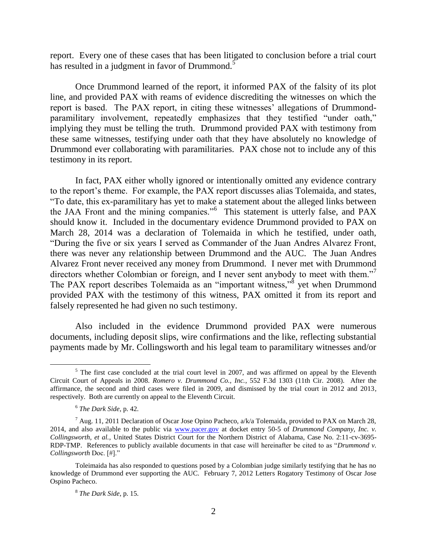report. Every one of these cases that has been litigated to conclusion before a trial court has resulted in a judgment in favor of Drummond.<sup>5</sup>

Once Drummond learned of the report, it informed PAX of the falsity of its plot line, and provided PAX with reams of evidence discrediting the witnesses on which the report is based. The PAX report, in citing these witnesses' allegations of Drummondparamilitary involvement, repeatedly emphasizes that they testified "under oath," implying they must be telling the truth. Drummond provided PAX with testimony from these same witnesses, testifying under oath that they have absolutely no knowledge of Drummond ever collaborating with paramilitaries. PAX chose not to include any of this testimony in its report.

In fact, PAX either wholly ignored or intentionally omitted any evidence contrary to the report's theme. For example, the PAX report discusses alias Tolemaida, and states, "To date, this ex-paramilitary has yet to make a statement about the alleged links between the JAA Front and the mining companies."<sup>6</sup> This statement is utterly false, and PAX should know it. Included in the documentary evidence Drummond provided to PAX on March 28, 2014 was a declaration of Tolemaida in which he testified, under oath, "During the five or six years I served as Commander of the Juan Andres Alvarez Front, there was never any relationship between Drummond and the AUC. The Juan Andres Alvarez Front never received any money from Drummond. I never met with Drummond directors whether Colombian or foreign, and I never sent anybody to meet with them."<sup>7</sup> The PAX report describes Tolemaida as an "important witness," $\delta$  yet when Drummond provided PAX with the testimony of this witness, PAX omitted it from its report and falsely represented he had given no such testimony.

Also included in the evidence Drummond provided PAX were numerous documents, including deposit slips, wire confirmations and the like, reflecting substantial payments made by Mr. Collingsworth and his legal team to paramilitary witnesses and/or

 $<sup>5</sup>$  The first case concluded at the trial court level in 2007, and was affirmed on appeal by the Eleventh</sup> Circuit Court of Appeals in 2008. *Romero v. Drummond Co., Inc.*, 552 F.3d 1303 (11th Cir. 2008). After the affirmance, the second and third cases were filed in 2009, and dismissed by the trial court in 2012 and 2013, respectively. Both are currently on appeal to the Eleventh Circuit.

<sup>6</sup> *The Dark Side*, p. 42.

<sup>&</sup>lt;sup>7</sup> Aug. 11, 2011 Declaration of Oscar Jose Opino Pacheco,  $a/k/a$  Tolemaida, provided to PAX on March 28, 2014, and also available to the public via [www.pacer.gov](http://www.pacer.gov/) at docket entry 50-5 of *Drummond Company, Inc. v. Collingsworth, et al.*, United States District Court for the Northern District of Alabama, Case No. 2:11-cv-3695- RDP-TMP. References to publicly available documents in that case will hereinafter be cited to as "*Drummond v. Collingsworth* Doc. [#]."

Toleimaida has also responded to questions posed by a Colombian judge similarly testifying that he has no knowledge of Drummond ever supporting the AUC. February 7, 2012 Letters Rogatory Testimony of Oscar Jose Ospino Pacheco.

<sup>8</sup> *The Dark Side*, p. 15.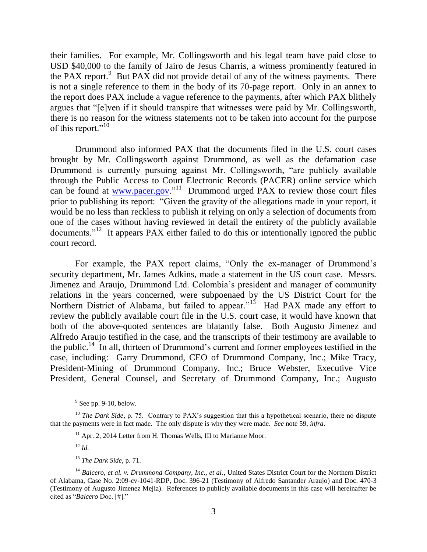their families. For example, Mr. Collingsworth and his legal team have paid close to USD \$40,000 to the family of Jairo de Jesus Charris, a witness prominently featured in the PAX report. $9$  But PAX did not provide detail of any of the witness payments. There is not a single reference to them in the body of its 70-page report. Only in an annex to the report does PAX include a vague reference to the payments, after which PAX blithely argues that "[e]ven if it should transpire that witnesses were paid by Mr. Collingsworth, there is no reason for the witness statements not to be taken into account for the purpose of this report."<sup>10</sup>

Drummond also informed PAX that the documents filed in the U.S. court cases brought by Mr. Collingsworth against Drummond, as well as the defamation case Drummond is currently pursuing against Mr. Collingsworth, "are publicly available through the Public Access to Court Electronic Records (PACER) online service which can be found at  $\frac{www.pacer.gov.}{}^{11}$  Drummond urged PAX to review those court files prior to publishing its report: "Given the gravity of the allegations made in your report, it would be no less than reckless to publish it relying on only a selection of documents from one of the cases without having reviewed in detail the entirety of the publicly available documents."<sup>12</sup> It appears PAX either failed to do this or intentionally ignored the public court record.

For example, the PAX report claims, "Only the ex-manager of Drummond's security department, Mr. James Adkins, made a statement in the US court case. Messrs. Jimenez and Araujo, Drummond Ltd. Colombia's president and manager of community relations in the years concerned, were subpoenaed by the US District Court for the Northern District of Alabama, but failed to appear."<sup>13</sup> Had PAX made any effort to review the publicly available court file in the U.S. court case, it would have known that both of the above-quoted sentences are blatantly false. Both Augusto Jimenez and Alfredo Araujo testified in the case, and the transcripts of their testimony are available to the public.<sup>14</sup> In all, thirteen of Drummond's current and former employees testified in the case, including: Garry Drummond, CEO of Drummond Company, Inc.; Mike Tracy, President-Mining of Drummond Company, Inc.; Bruce Webster, Executive Vice President, General Counsel, and Secretary of Drummond Company, Inc.; Augusto

 $9^9$  See pp. 9-10, below.

<sup>&</sup>lt;sup>10</sup> *The Dark Side*, p. 75. Contrary to PAX's suggestion that this a hypothetical scenario, there no dispute that the payments were in fact made. The only dispute is why they were made. *See* note 59, *infra*.

<sup>&</sup>lt;sup>11</sup> Apr. 2, 2014 Letter from H. Thomas Wells, III to Marianne Moor.

<sup>12</sup> *Id.*

<sup>13</sup> *The Dark Side*, p. 71.

<sup>14</sup> *Balcero, et al. v. Drummond Company, Inc., et al.*, United States District Court for the Northern District of Alabama, Case No. 2:09-cv-1041-RDP, Doc. 396-21 (Testimony of Alfredo Santander Araujo) and Doc. 470-3 (Testimony of Augusto Jimenez Mejia). References to publicly available documents in this case will hereinafter be cited as "*Balcero* Doc. [#]."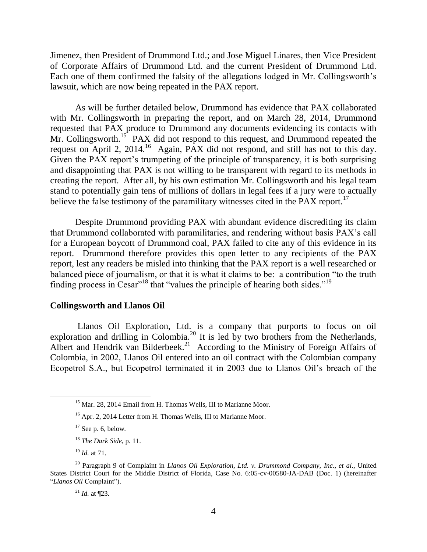Jimenez, then President of Drummond Ltd.; and Jose Miguel Linares, then Vice President of Corporate Affairs of Drummond Ltd. and the current President of Drummond Ltd. Each one of them confirmed the falsity of the allegations lodged in Mr. Collingsworth's lawsuit, which are now being repeated in the PAX report.

As will be further detailed below, Drummond has evidence that PAX collaborated with Mr. Collingsworth in preparing the report, and on March 28, 2014, Drummond requested that PAX produce to Drummond any documents evidencing its contacts with Mr. Collingsworth.<sup>15</sup> PAX did not respond to this request, and Drummond repeated the request on April 2, 2014.<sup>16</sup> Again, PAX did not respond, and still has not to this day. Given the PAX report's trumpeting of the principle of transparency, it is both surprising and disappointing that PAX is not willing to be transparent with regard to its methods in creating the report. After all, by his own estimation Mr. Collingsworth and his legal team stand to potentially gain tens of millions of dollars in legal fees if a jury were to actually believe the false testimony of the paramilitary witnesses cited in the  $PAX$  report.<sup>17</sup>

Despite Drummond providing PAX with abundant evidence discrediting its claim that Drummond collaborated with paramilitaries, and rendering without basis PAX's call for a European boycott of Drummond coal, PAX failed to cite any of this evidence in its report. Drummond therefore provides this open letter to any recipients of the PAX report, lest any readers be misled into thinking that the PAX report is a well researched or balanced piece of journalism, or that it is what it claims to be: a contribution "to the truth finding process in  $Cesar''^{18}$  that "values the principle of hearing both sides."<sup>19</sup>

#### **Collingsworth and Llanos Oil**

Llanos Oil Exploration, Ltd. is a company that purports to focus on oil exploration and drilling in Colombia.<sup>20</sup> It is led by two brothers from the Netherlands, Albert and Hendrik van Bilderbeek.<sup>21</sup> According to the Ministry of Foreign Affairs of Colombia, in 2002, Llanos Oil entered into an oil contract with the Colombian company Ecopetrol S.A., but Ecopetrol terminated it in 2003 due to Llanos Oil's breach of the

 $\overline{a}$ 

<sup>21</sup> *Id.* at ¶23.

<sup>&</sup>lt;sup>15</sup> Mar. 28, 2014 Email from H. Thomas Wells, III to Marianne Moor.

<sup>&</sup>lt;sup>16</sup> Apr. 2, 2014 Letter from H. Thomas Wells, III to Marianne Moor.

 $17$  See p. 6, below.

<sup>18</sup> *The Dark Side*, p. 11.

<sup>19</sup> *Id.* at 71.

<sup>20</sup> Paragraph 9 of Complaint in *Llanos Oil Exploration, Ltd. v. Drummond Company, Inc., et al*., United States District Court for the Middle District of Florida, Case No. 6:05-cv-00580-JA-DAB (Doc. 1) (hereinafter "*Llanos Oil* Complaint").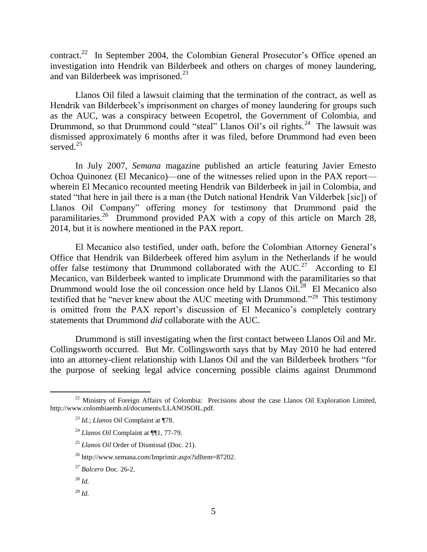contract.<sup>22</sup> In September 2004, the Colombian General Prosecutor's Office opened an investigation into Hendrik van Bilderbeek and others on charges of money laundering, and van Bilderbeek was imprisoned.<sup>23</sup>

Llanos Oil filed a lawsuit claiming that the termination of the contract, as well as Hendrik van Bilderbeek's imprisonment on charges of money laundering for groups such as the AUC, was a conspiracy between Ecopetrol, the Government of Colombia, and Drummond, so that Drummond could "steal" Llanos Oil's oil rights.<sup>24</sup> The lawsuit was dismissed approximately 6 months after it was filed, before Drummond had even been served $^{25}$ 

In July 2007, *Semana* magazine published an article featuring Javier Ernesto Ochoa Quinonez (El Mecanico)—one of the witnesses relied upon in the PAX report wherein El Mecanico recounted meeting Hendrik van Bilderbeek in jail in Colombia, and stated "that here in jail there is a man (the Dutch national Hendrik Van Vilderbek [sic]) of Llanos Oil Company" offering money for testimony that Drummond paid the paramilitaries.<sup>26</sup> Drummond provided PAX with a copy of this article on March 28, 2014, but it is nowhere mentioned in the PAX report.

El Mecanico also testified, under oath, before the Colombian Attorney General's Office that Hendrik van Bilderbeek offered him asylum in the Netherlands if he would offer false testimony that Drummond collaborated with the  $AUC<sup>27</sup>$  According to El Mecanico, van Bilderbeek wanted to implicate Drummond with the paramilitaries so that Drummond would lose the oil concession once held by Llanos Oil.<sup>28</sup> El Mecanico also testified that he "never knew about the AUC meeting with Drummond."<sup>29</sup> This testimony is omitted from the PAX report's discussion of El Mecanico's completely contrary statements that Drummond *did* collaborate with the AUC.

Drummond is still investigating when the first contact between Llanos Oil and Mr. Collingsworth occurred. But Mr. Collingsworth says that by May 2010 he had entered into an attorney-client relationship with Llanos Oil and the van Bilderbeek brothers "for the purpose of seeking legal advice concerning possible claims against Drummond

<sup>&</sup>lt;sup>22</sup> Ministry of Foreign Affairs of Colombia: Precisions about the case Llanos Oil Exploration Limited, http://www.colombiaemb.nl/documents/LLANOSOIL.pdf.

<sup>23</sup> *Id.*; *Llanos Oil* Complaint at ¶78.

<sup>24</sup> *Llanos Oil* Complaint at ¶¶1, 77-79.

<sup>25</sup> *Llanos Oil* Order of Dismissal (Doc. 21).

<sup>26</sup> http://www.semana.com/Imprimir.aspx?idItem=87202.

<sup>27</sup> *Balcero* Doc. 26-2.

<sup>28</sup> *Id.*

<sup>29</sup> *Id.*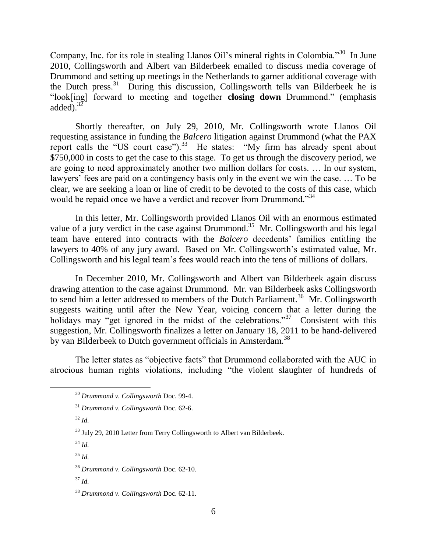Company, Inc. for its role in stealing Llanos Oil's mineral rights in Colombia."<sup>30</sup> In June 2010, Collingsworth and Albert van Bilderbeek emailed to discuss media coverage of Drummond and setting up meetings in the Netherlands to garner additional coverage with the Dutch press.<sup>31</sup> During this discussion, Collingsworth tells van Bilderbeek he is "look[ing] forward to meeting and together **closing down** Drummond." (emphasis added). $3\overline{2}$ 

Shortly thereafter, on July 29, 2010, Mr. Collingsworth wrote Llanos Oil requesting assistance in funding the *Balcero* litigation against Drummond (what the PAX report calls the "US court case"). $33$  He states: "My firm has already spent about \$750,000 in costs to get the case to this stage. To get us through the discovery period, we are going to need approximately another two million dollars for costs. … In our system, lawyers' fees are paid on a contingency basis only in the event we win the case. … To be clear, we are seeking a loan or line of credit to be devoted to the costs of this case, which would be repaid once we have a verdict and recover from Drummond."<sup>34</sup>

In this letter, Mr. Collingsworth provided Llanos Oil with an enormous estimated value of a jury verdict in the case against Drummond.<sup>35</sup> Mr. Collingsworth and his legal team have entered into contracts with the *Balcero* decedents' families entitling the lawyers to 40% of any jury award. Based on Mr. Collingsworth's estimated value, Mr. Collingsworth and his legal team's fees would reach into the tens of millions of dollars.

In December 2010, Mr. Collingsworth and Albert van Bilderbeek again discuss drawing attention to the case against Drummond. Mr. van Bilderbeek asks Collingsworth to send him a letter addressed to members of the Dutch Parliament.<sup>36</sup> Mr. Collingsworth suggests waiting until after the New Year, voicing concern that a letter during the holidays may "get ignored in the midst of the celebrations."<sup>37</sup> Consistent with this suggestion, Mr. Collingsworth finalizes a letter on January 18, 2011 to be hand-delivered by van Bilderbeek to Dutch government officials in Amsterdam.<sup>38</sup>

The letter states as "objective facts" that Drummond collaborated with the AUC in atrocious human rights violations, including "the violent slaughter of hundreds of

 $32$  *Id.* 

 $\overline{a}$ 

<sup>35</sup> *Id.*

<sup>37</sup> *Id.*

<sup>30</sup> *Drummond v. Collingsworth* Doc. 99-4.

<sup>31</sup> *Drummond v. Collingsworth* Doc. 62-6.

<sup>&</sup>lt;sup>33</sup> July 29, 2010 Letter from Terry Collingsworth to Albert van Bilderbeek.

<sup>34</sup> *Id.*

<sup>36</sup> *Drummond v. Collingsworth* Doc. 62-10.

<sup>38</sup> *Drummond v. Collingsworth* Doc. 62-11.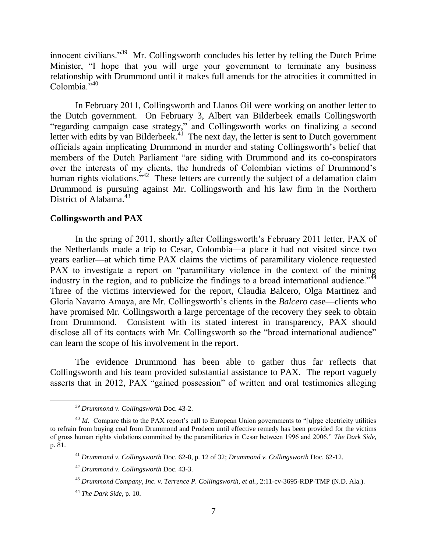innocent civilians."<sup>39</sup> Mr. Collingsworth concludes his letter by telling the Dutch Prime Minister, "I hope that you will urge your government to terminate any business relationship with Drummond until it makes full amends for the atrocities it committed in Colombia."<sup>40</sup>

In February 2011, Collingsworth and Llanos Oil were working on another letter to the Dutch government. On February 3, Albert van Bilderbeek emails Collingsworth "regarding campaign case strategy," and Collingsworth works on finalizing a second letter with edits by van Bilderbeek.<sup>41</sup> The next day, the letter is sent to Dutch government officials again implicating Drummond in murder and stating Collingsworth's belief that members of the Dutch Parliament "are siding with Drummond and its co-conspirators over the interests of my clients, the hundreds of Colombian victims of Drummond's human rights violations.<sup>342</sup> These letters are currently the subject of a defamation claim Drummond is pursuing against Mr. Collingsworth and his law firm in the Northern District of Alabama.<sup>43</sup>

## **Collingsworth and PAX**

In the spring of 2011, shortly after Collingsworth's February 2011 letter, PAX of the Netherlands made a trip to Cesar, Colombia—a place it had not visited since two years earlier—at which time PAX claims the victims of paramilitary violence requested PAX to investigate a report on "paramilitary violence in the context of the mining industry in the region, and to publicize the findings to a broad international audience."<sup>44</sup> Three of the victims interviewed for the report, Claudia Balcero, Olga Martinez and Gloria Navarro Amaya, are Mr. Collingsworth's clients in the *Balcero* case—clients who have promised Mr. Collingsworth a large percentage of the recovery they seek to obtain from Drummond. Consistent with its stated interest in transparency, PAX should disclose all of its contacts with Mr. Collingsworth so the "broad international audience" can learn the scope of his involvement in the report.

The evidence Drummond has been able to gather thus far reflects that Collingsworth and his team provided substantial assistance to PAX. The report vaguely asserts that in 2012, PAX "gained possession" of written and oral testimonies alleging

<sup>39</sup> *Drummond v. Collingsworth* Doc. 43-2.

<sup>&</sup>lt;sup>40</sup> *Id.* Compare this to the PAX report's call to European Union governments to "[u]rge electricity utilities to refrain from buying coal from Drummond and Prodeco until effective remedy has been provided for the victims of gross human rights violations committed by the paramilitaries in Cesar between 1996 and 2006." *The Dark Side*, p. 81.

<sup>41</sup> *Drummond v. Collingsworth* Doc. 62-8, p. 12 of 32; *Drummond v. Collingsworth* Doc. 62-12.

<sup>42</sup> *Drummond v. Collingsworth* Doc. 43-3.

<sup>43</sup> *Drummond Company, Inc. v. Terrence P. Collingsworth, et al.*, 2:11-cv-3695-RDP-TMP (N.D. Ala.).

<sup>44</sup> *The Dark Side*, p. 10.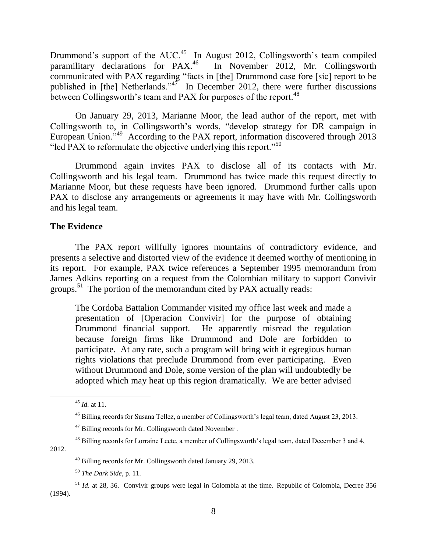Drummond's support of the AUC.<sup>45</sup> In August 2012, Collingsworth's team compiled paramilitary declarations for PAX.<sup>46</sup> In November 2012, Mr. Collingsworth communicated with PAX regarding "facts in [the] Drummond case fore [sic] report to be published in [the] Netherlands." $47$  In December 2012, there were further discussions between Collingsworth's team and PAX for purposes of the report.<sup>48</sup>

On January 29, 2013, Marianne Moor, the lead author of the report, met with Collingsworth to, in Collingsworth's words, "develop strategy for DR campaign in European Union."<sup>49</sup> According to the PAX report, information discovered through 2013 "led PAX to reformulate the objective underlying this report."<sup>50</sup>

Drummond again invites PAX to disclose all of its contacts with Mr. Collingsworth and his legal team. Drummond has twice made this request directly to Marianne Moor, but these requests have been ignored. Drummond further calls upon PAX to disclose any arrangements or agreements it may have with Mr. Collingsworth and his legal team.

# **The Evidence**

The PAX report willfully ignores mountains of contradictory evidence, and presents a selective and distorted view of the evidence it deemed worthy of mentioning in its report. For example, PAX twice references a September 1995 memorandum from James Adkins reporting on a request from the Colombian military to support Convivir groups.<sup>51</sup> The portion of the memorandum cited by PAX actually reads:

The Cordoba Battalion Commander visited my office last week and made a presentation of [Operacion Convivir] for the purpose of obtaining Drummond financial support. He apparently misread the regulation because foreign firms like Drummond and Dole are forbidden to participate. At any rate, such a program will bring with it egregious human rights violations that preclude Drummond from ever participating. Even without Drummond and Dole, some version of the plan will undoubtedly be adopted which may heat up this region dramatically. We are better advised

2012.

<sup>45</sup> *Id.* at 11.

<sup>46</sup> Billing records for Susana Tellez, a member of Collingsworth's legal team, dated August 23, 2013.

<sup>&</sup>lt;sup>47</sup> Billing records for Mr. Collingsworth dated November .

<sup>48</sup> Billing records for Lorraine Leete, a member of Collingsworth's legal team, dated December 3 and 4,

<sup>49</sup> Billing records for Mr. Collingsworth dated January 29, 2013.

<sup>50</sup> *The Dark Side*, p. 11.

<sup>51</sup> *Id.* at 28, 36. Convivir groups were legal in Colombia at the time. Republic of Colombia, Decree 356 (1994).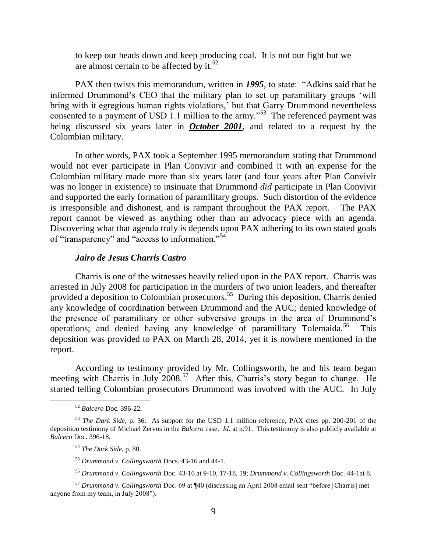to keep our heads down and keep producing coal. It is not our fight but we are almost certain to be affected by it.<sup>52</sup>

PAX then twists this memorandum, written in *1995*, to state: "Adkins said that he informed Drummond's CEO that the military plan to set up paramilitary groups 'will bring with it egregious human rights violations,' but that Garry Drummond nevertheless consented to a payment of USD 1.1 million to the army."<sup>53</sup> The referenced payment was being discussed six years later in *October 2001*, and related to a request by the Colombian military.

In other words, PAX took a September 1995 memorandum stating that Drummond would not ever participate in Plan Convivir and combined it with an expense for the Colombian military made more than six years later (and four years after Plan Convivir was no longer in existence) to insinuate that Drummond *did* participate in Plan Convivir and supported the early formation of paramilitary groups. Such distortion of the evidence is irresponsible and dishonest, and is rampant throughout the PAX report. The PAX report cannot be viewed as anything other than an advocacy piece with an agenda. Discovering what that agenda truly is depends upon PAX adhering to its own stated goals of "transparency" and "access to information."<sup>54</sup>

#### *Jairo de Jesus Charris Castro*

Charris is one of the witnesses heavily relied upon in the PAX report. Charris was arrested in July 2008 for participation in the murders of two union leaders, and thereafter provided a deposition to Colombian prosecutors.<sup>55</sup> During this deposition, Charris denied any knowledge of coordination between Drummond and the AUC; denied knowledge of the presence of paramilitary or other subversive groups in the area of Drummond's operations; and denied having any knowledge of paramilitary Tolemaida.<sup>56</sup> This deposition was provided to PAX on March 28, 2014, yet it is nowhere mentioned in the report.

According to testimony provided by Mr. Collingsworth, he and his team began meeting with Charris in July 2008.<sup>57</sup> After this, Charris's story began to change. He started telling Colombian prosecutors Drummond was involved with the AUC. In July

<sup>52</sup> *Balcero* Doc. 396-22.

<sup>53</sup> *The Dark Side*, p. 36. As support for the USD 1.1 million reference, PAX cites pp. 200-201 of the deposition testimony of Michael Zervos in the *Balcero* case. *Id.* at n.91. This testimony is also publicly available at *Balcero* Doc. 396-18.

<sup>54</sup> *The Dark Side*, p. 80.

<sup>55</sup> *Drummond v. Collingsworth* Docs. 43-16 and 44-1.

<sup>56</sup> *Drummond v. Collingsworth* Doc. 43-16 at 9-10, 17-18, 19; *Drummond v. Collingsworth* Doc. 44-1at 8.

<sup>57</sup> *Drummond v. Collingsworth* Doc. 69 at ¶40 (discussing an April 2008 email sent "before [Charris] met anyone from my team, in July 2008").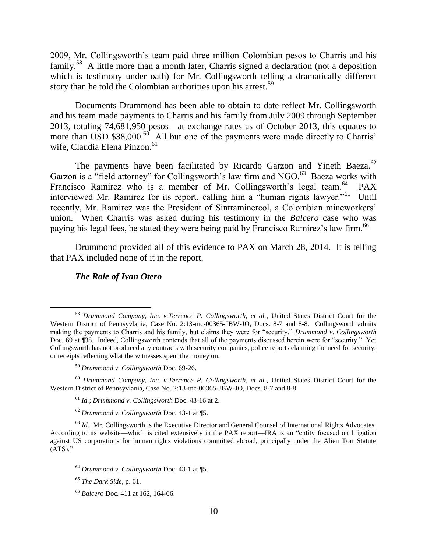2009, Mr. Collingsworth's team paid three million Colombian pesos to Charris and his family.<sup>58</sup> A little more than a month later, Charris signed a declaration (not a deposition which is testimony under oath) for Mr. Collingsworth telling a dramatically different story than he told the Colombian authorities upon his arrest.<sup>59</sup>

Documents Drummond has been able to obtain to date reflect Mr. Collingsworth and his team made payments to Charris and his family from July 2009 through September 2013, totaling 74,681,950 pesos—at exchange rates as of October 2013, this equates to more than USD \$38,000.<sup>60</sup> All but one of the payments were made directly to Charris' wife, Claudia Elena Pinzon.<sup>61</sup>

The payments have been facilitated by Ricardo Garzon and Yineth Baeza.<sup>62</sup> Garzon is a "field attorney" for Collingsworth's law firm and NGO.<sup>63</sup> Baeza works with Francisco Ramirez who is a member of Mr. Collingsworth's legal team.<sup>64</sup> PAX interviewed Mr. Ramirez for its report, calling him a "human rights lawyer."<sup>65</sup> Until recently, Mr. Ramirez was the President of Sintraminercol, a Colombian mineworkers' union. When Charris was asked during his testimony in the *Balcero* case who was paying his legal fees, he stated they were being paid by Francisco Ramirez's law firm.<sup>66</sup>

Drummond provided all of this evidence to PAX on March 28, 2014. It is telling that PAX included none of it in the report.

## *The Role of Ivan Otero*

<sup>58</sup> *Drummond Company, Inc. v.Terrence P. Collingsworth, et al.*, United States District Court for the Western District of Pennsyvlania, Case No. 2:13-mc-00365-JBW-JO, Docs. 8-7 and 8-8. Collingsworth admits making the payments to Charris and his family, but claims they were for "security." *Drummond v. Collingsworth* Doc. 69 at ¶38. Indeed, Collingsworth contends that all of the payments discussed herein were for "security." Yet Collingsworth has not produced any contracts with security companies, police reports claiming the need for security, or receipts reflecting what the witnesses spent the money on.

<sup>59</sup> *Drummond v. Collingsworth* Doc. 69-26.

<sup>60</sup> *Drummond Company, Inc. v.Terrence P. Collingsworth, et al.*, United States District Court for the Western District of Pennsyvlania, Case No. 2:13-mc-00365-JBW-JO, Docs. 8-7 and 8-8.

<sup>61</sup> *Id.*; *Drummond v. Collingsworth* Doc. 43-16 at 2.

<sup>62</sup> *Drummond v. Collingsworth* Doc. 43-1 at ¶5.

<sup>&</sup>lt;sup>63</sup> *Id.* Mr. Collingsworth is the Executive Director and General Counsel of International Rights Advocates. According to its website—which is cited extensively in the PAX report—IRA is an "entity focused on litigation against US corporations for human rights violations committed abroad, principally under the Alien Tort Statute  $(ATS).$ "

<sup>64</sup> *Drummond v. Collingsworth* Doc. 43-1 at ¶5.

<sup>65</sup> *The Dark Side*, p. 61.

<sup>66</sup> *Balcero* Doc. 411 at 162, 164-66.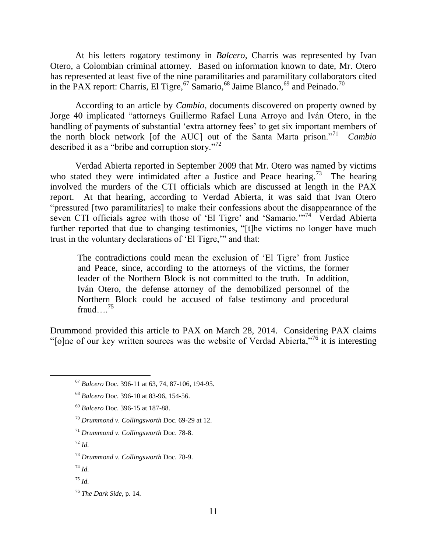At his letters rogatory testimony in *Balcero*, Charris was represented by Ivan Otero, a Colombian criminal attorney. Based on information known to date, Mr. Otero has represented at least five of the nine paramilitaries and paramilitary collaborators cited in the PAX report: Charris, El Tigre,  $\frac{67}{9}$  Samario,  $\frac{68}{9}$  Jaime Blanco,  $\frac{69}{9}$  and Peinado.<sup>70</sup>

According to an article by *Cambio*, documents discovered on property owned by Jorge 40 implicated "attorneys Guillermo Rafael Luna Arroyo and Iván Otero, in the handling of payments of substantial 'extra attorney fees' to get six important members of the north block network [of the AUC] out of the Santa Marta prison."<sup>71</sup> *Cambio* described it as a "bribe and corruption story."<sup>72</sup>

Verdad Abierta reported in September 2009 that Mr. Otero was named by victims who stated they were intimidated after a Justice and Peace hearing.<sup>73</sup> The hearing involved the murders of the CTI officials which are discussed at length in the PAX report. At that hearing, according to Verdad Abierta, it was said that Ivan Otero "pressured [two paramilitaries] to make their confessions about the disappearance of the seven CTI officials agree with those of 'El Tigre' and 'Samario.'"<sup>74</sup> Verdad Abierta further reported that due to changing testimonies, "[t]he victims no longer have much trust in the voluntary declarations of 'El Tigre,'" and that:

The contradictions could mean the exclusion of 'El Tigre' from Justice and Peace, since, according to the attorneys of the victims, the former leader of the Northern Block is not committed to the truth. In addition, Iván Otero, the defense attorney of the demobilized personnel of the Northern Block could be accused of false testimony and procedural fraud $\frac{75}{ }$ 

Drummond provided this article to PAX on March 28, 2014. Considering PAX claims " $[0]$ ne of our key written sources was the website of Verdad Abierta,"<sup>76</sup> it is interesting

- <sup>71</sup> *Drummond v. Collingsworth* Doc. 78-8.
- <sup>72</sup> *Id.*

 $\overline{a}$ 

<sup>74</sup> *Id.*

<sup>67</sup> *Balcero* Doc. 396-11 at 63, 74, 87-106, 194-95.

<sup>68</sup> *Balcero* Doc. 396-10 at 83-96, 154-56.

<sup>69</sup> *Balcero* Doc. 396-15 at 187-88.

<sup>70</sup> *Drummond v. Collingsworth* Doc. 69-29 at 12.

<sup>73</sup> *Drummond v. Collingsworth* Doc. 78-9.

<sup>75</sup> *Id.*

<sup>76</sup> *The Dark Side*, p. 14.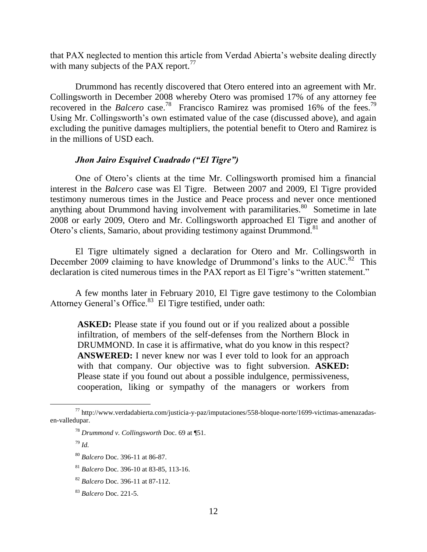that PAX neglected to mention this article from Verdad Abierta's website dealing directly with many subjects of the PAX report. $77$ 

Drummond has recently discovered that Otero entered into an agreement with Mr. Collingsworth in December 2008 whereby Otero was promised 17% of any attorney fee recovered in the *Balcero* case.<sup>78</sup> Francisco Ramirez was promised 16% of the fees.<sup>79</sup> Using Mr. Collingsworth's own estimated value of the case (discussed above), and again excluding the punitive damages multipliers, the potential benefit to Otero and Ramirez is in the millions of USD each.

#### *Jhon Jairo Esquivel Cuadrado ("El Tigre")*

One of Otero's clients at the time Mr. Collingsworth promised him a financial interest in the *Balcero* case was El Tigre. Between 2007 and 2009, El Tigre provided testimony numerous times in the Justice and Peace process and never once mentioned anything about Drummond having involvement with paramilitaries. $80$  Sometime in late 2008 or early 2009, Otero and Mr. Collingsworth approached El Tigre and another of Otero's clients, Samario, about providing testimony against Drummond.<sup>81</sup>

El Tigre ultimately signed a declaration for Otero and Mr. Collingsworth in December 2009 claiming to have knowledge of Drummond's links to the AUC.<sup>82</sup> This declaration is cited numerous times in the PAX report as El Tigre's "written statement."

A few months later in February 2010, El Tigre gave testimony to the Colombian Attorney General's Office.<sup>83</sup> El Tigre testified, under oath:

ASKED: Please state if you found out or if you realized about a possible infiltration, of members of the self-defenses from the Northern Block in DRUMMOND. In case it is affirmative, what do you know in this respect? **ANSWERED:** I never knew nor was I ever told to look for an approach with that company. Our objective was to fight subversion. **ASKED:**  Please state if you found out about a possible indulgence, permissiveness, cooperation, liking or sympathy of the managers or workers from

 $^{77}$  http://www.verdadabierta.com/justicia-y-paz/imputaciones/558-bloque-norte/1699-victimas-amenazadasen-valledupar.

<sup>78</sup> *Drummond v. Collingsworth* Doc. 69 at ¶51.

<sup>79</sup> *Id.*

<sup>80</sup> *Balcero* Doc. 396-11 at 86-87.

<sup>81</sup> *Balcero* Doc. 396-10 at 83-85, 113-16.

<sup>82</sup> *Balcero* Doc. 396-11 at 87-112.

<sup>83</sup> *Balcero* Doc. 221-5.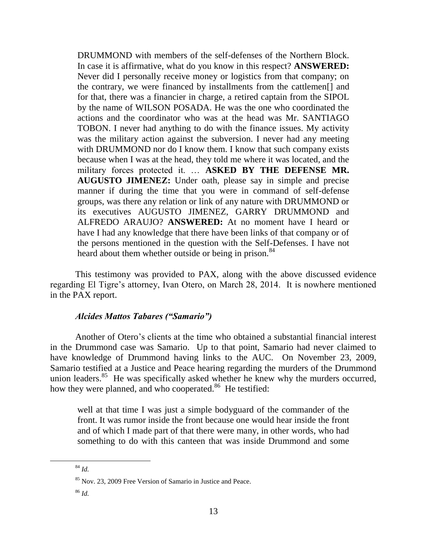DRUMMOND with members of the self-defenses of the Northern Block. In case it is affirmative, what do you know in this respect? **ANSWERED:**  Never did I personally receive money or logistics from that company; on the contrary, we were financed by installments from the cattlemen[] and for that, there was a financier in charge, a retired captain from the SIPOL by the name of WILSON POSADA. He was the one who coordinated the actions and the coordinator who was at the head was Mr. SANTIAGO TOBON. I never had anything to do with the finance issues. My activity was the military action against the subversion. I never had any meeting with DRUMMOND nor do I know them. I know that such company exists because when I was at the head, they told me where it was located, and the military forces protected it. … **ASKED BY THE DEFENSE MR. AUGUSTO JIMENEZ:** Under oath, please say in simple and precise manner if during the time that you were in command of self-defense groups, was there any relation or link of any nature with DRUMMOND or its executives AUGUSTO JIMENEZ, GARRY DRUMMOND and ALFREDO ARAUJO? **ANSWERED:** At no moment have I heard or have I had any knowledge that there have been links of that company or of the persons mentioned in the question with the Self-Defenses. I have not heard about them whether outside or being in prison.<sup>84</sup>

This testimony was provided to PAX, along with the above discussed evidence regarding El Tigre's attorney, Ivan Otero, on March 28, 2014. It is nowhere mentioned in the PAX report.

## *Alcides Mattos Tabares ("Samario")*

Another of Otero's clients at the time who obtained a substantial financial interest in the Drummond case was Samario. Up to that point, Samario had never claimed to have knowledge of Drummond having links to the AUC. On November 23, 2009, Samario testified at a Justice and Peace hearing regarding the murders of the Drummond union leaders.<sup>85</sup> He was specifically asked whether he knew why the murders occurred, how they were planned, and who cooperated.<sup>86</sup> He testified:

well at that time I was just a simple bodyguard of the commander of the front. It was rumor inside the front because one would hear inside the front and of which I made part of that there were many, in other words, who had something to do with this canteen that was inside Drummond and some

<sup>84</sup> *Id.*

<sup>85</sup> Nov. 23, 2009 Free Version of Samario in Justice and Peace.

<sup>86</sup> *Id.*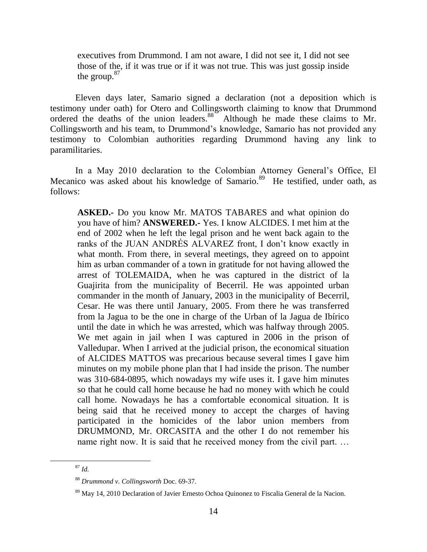executives from Drummond. I am not aware, I did not see it, I did not see those of the, if it was true or if it was not true. This was just gossip inside the group.<sup>87</sup>

Eleven days later, Samario signed a declaration (not a deposition which is testimony under oath) for Otero and Collingsworth claiming to know that Drummond ordered the deaths of the union leaders.<sup>88</sup> Although he made these claims to Mr. Collingsworth and his team, to Drummond's knowledge, Samario has not provided any testimony to Colombian authorities regarding Drummond having any link to paramilitaries.

In a May 2010 declaration to the Colombian Attorney General's Office, El Mecanico was asked about his knowledge of Samario.<sup>89</sup> He testified, under oath, as follows:

**ASKED.-** Do you know Mr. MATOS TABARES and what opinion do you have of him? **ANSWERED.-** Yes. I know ALCIDES. I met him at the end of 2002 when he left the legal prison and he went back again to the ranks of the JUAN ANDRÉS ALVAREZ front, I don't know exactly in what month. From there, in several meetings, they agreed on to appoint him as urban commander of a town in gratitude for not having allowed the arrest of TOLEMAIDA, when he was captured in the district of la Guajirita from the municipality of Becerril. He was appointed urban commander in the month of January, 2003 in the municipality of Becerril, Cesar. He was there until January, 2005. From there he was transferred from la Jagua to be the one in charge of the Urban of la Jagua de Ibírico until the date in which he was arrested, which was halfway through 2005. We met again in jail when I was captured in 2006 in the prison of Valledupar. When I arrived at the judicial prison, the economical situation of ALCIDES MATTOS was precarious because several times I gave him minutes on my mobile phone plan that I had inside the prison. The number was 310-684-0895, which nowadays my wife uses it. I gave him minutes so that he could call home because he had no money with which he could call home. Nowadays he has a comfortable economical situation. It is being said that he received money to accept the charges of having participated in the homicides of the labor union members from DRUMMOND, Mr. ORCASITA and the other I do not remember his name right now. It is said that he received money from the civil part. …

<sup>87</sup> *Id.*

<sup>88</sup> *Drummond v. Collingsworth* Doc. 69-37.

<sup>&</sup>lt;sup>89</sup> May 14, 2010 Declaration of Javier Ernesto Ochoa Quinonez to Fiscalia General de la Nacion.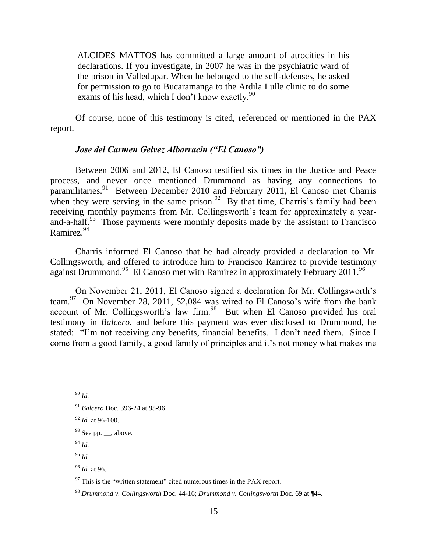ALCIDES MATTOS has committed a large amount of atrocities in his declarations. If you investigate, in 2007 he was in the psychiatric ward of the prison in Valledupar. When he belonged to the self-defenses, he asked for permission to go to Bucaramanga to the Ardila Lulle clinic to do some exams of his head, which I don't know exactly.<sup>90</sup>

Of course, none of this testimony is cited, referenced or mentioned in the PAX report.

## *Jose del Carmen Gelvez Albarracin ("El Canoso")*

Between 2006 and 2012, El Canoso testified six times in the Justice and Peace process, and never once mentioned Drummond as having any connections to paramilitaries.<sup>91</sup> Between December 2010 and February 2011, El Canoso met Charris when they were serving in the same prison.<sup>92</sup> By that time, Charris's family had been receiving monthly payments from Mr. Collingsworth's team for approximately a yearand-a-half.<sup>93</sup> Those payments were monthly deposits made by the assistant to Francisco Ramirez. $94$ 

Charris informed El Canoso that he had already provided a declaration to Mr. Collingsworth, and offered to introduce him to Francisco Ramirez to provide testimony against Drummond.<sup>95</sup> El Canoso met with Ramirez in approximately February 2011.<sup>96</sup>

On November 21, 2011, El Canoso signed a declaration for Mr. Collingsworth's team.<sup>97</sup> On November 28, 2011, \$2,084 was wired to El Canoso's wife from the bank account of Mr. Collingsworth's law firm. $98$  But when El Canoso provided his oral testimony in *Balcero*, and before this payment was ever disclosed to Drummond, he stated: "I'm not receiving any benefits, financial benefits. I don't need them. Since I come from a good family, a good family of principles and it's not money what makes me

 $\overline{a}$ 

<sup>95</sup> *Id.*

<sup>96</sup> *Id.* at 96.

<sup>90</sup> *Id.*

<sup>91</sup> *Balcero* Doc. 396-24 at 95-96.

<sup>92</sup> *Id.* at 96-100.

 $93$  See pp. \_\_, above.

<sup>94</sup> *Id.*

 $97$  This is the "written statement" cited numerous times in the PAX report.

<sup>98</sup> *Drummond v. Collingsworth* Doc. 44-16; *Drummond v. Collingsworth* Doc. 69 at ¶44.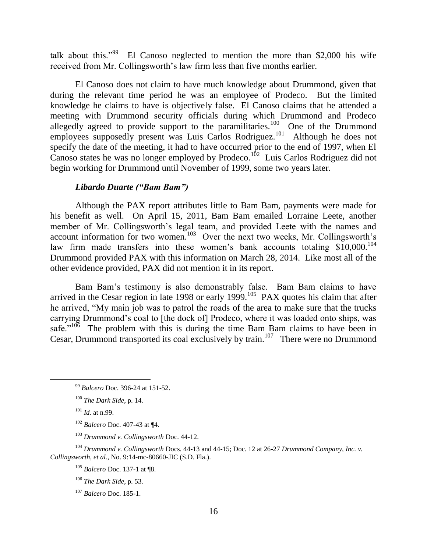talk about this."<sup>99</sup> El Canoso neglected to mention the more than \$2,000 his wife received from Mr. Collingsworth's law firm less than five months earlier.

El Canoso does not claim to have much knowledge about Drummond, given that during the relevant time period he was an employee of Prodeco. But the limited knowledge he claims to have is objectively false. El Canoso claims that he attended a meeting with Drummond security officials during which Drummond and Prodeco allegedly agreed to provide support to the paramilitaries.<sup>100</sup> One of the Drummond employees supposedly present was Luis Carlos Rodriguez.<sup>101</sup> Although he does not specify the date of the meeting, it had to have occurred prior to the end of 1997, when El Canoso states he was no longer employed by Prodeco.<sup>102</sup> Luis Carlos Rodriguez did not begin working for Drummond until November of 1999, some two years later.

### *Libardo Duarte ("Bam Bam")*

Although the PAX report attributes little to Bam Bam, payments were made for his benefit as well. On April 15, 2011, Bam Bam emailed Lorraine Leete, another member of Mr. Collingsworth's legal team, and provided Leete with the names and account information for two women.<sup>103</sup> Over the next two weeks, Mr. Collingsworth's law firm made transfers into these women's bank accounts totaling  $$10,000$ .<sup>104</sup> Drummond provided PAX with this information on March 28, 2014. Like most all of the other evidence provided, PAX did not mention it in its report.

Bam Bam's testimony is also demonstrably false. Bam Bam claims to have arrived in the Cesar region in late 1998 or early 1999.<sup>105</sup> PAX quotes his claim that after he arrived, "My main job was to patrol the roads of the area to make sure that the trucks carrying Drummond's coal to [the dock of] Prodeco, where it was loaded onto ships, was safe."<sup>106</sup> The problem with this is during the time Bam Bam claims to have been in Cesar, Drummond transported its coal exclusively by train.<sup>107</sup> There were no Drummond

 $\overline{a}$ 

<sup>104</sup> *Drummond v. Collingsworth* Docs. 44-13 and 44-15; Doc. 12 at 26-27 *Drummond Company, Inc. v. Collingsworth, et al.*, No. 9:14-mc-80660-JIC (S.D. Fla.).

<sup>105</sup> *Balcero* Doc. 137-1 at ¶8.

<sup>106</sup> *The Dark Side*, p. 53.

<sup>99</sup> *Balcero* Doc. 396-24 at 151-52.

<sup>100</sup> *The Dark Side*, p. 14.

<sup>101</sup> *Id.* at n.99.

<sup>102</sup> *Balcero* Doc. 407-43 at ¶4.

<sup>103</sup> *Drummond v. Collingsworth* Doc. 44-12.

<sup>107</sup> *Balcero* Doc. 185-1.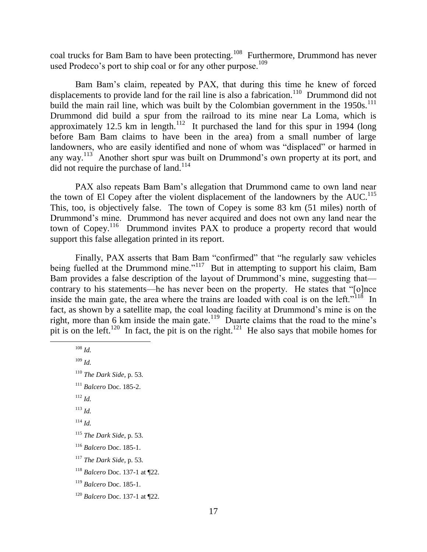coal trucks for Bam Bam to have been protecting.<sup>108</sup> Furthermore, Drummond has never used Prodeco's port to ship coal or for any other purpose.<sup>109</sup>

Bam Bam's claim, repeated by PAX, that during this time he knew of forced displacements to provide land for the rail line is also a fabrication.<sup>110</sup> Drummond did not build the main rail line, which was built by the Colombian government in the  $1950s$ .<sup>111</sup> Drummond did build a spur from the railroad to its mine near La Loma, which is approximately 12.5 km in length.<sup>112</sup> It purchased the land for this spur in 1994 (long before Bam Bam claims to have been in the area) from a small number of large landowners, who are easily identified and none of whom was "displaced" or harmed in any way.<sup>113</sup> Another short spur was built on Drummond's own property at its port, and did not require the purchase of land.<sup>114</sup>

PAX also repeats Bam Bam's allegation that Drummond came to own land near the town of El Copey after the violent displacement of the landowners by the  $AUC$ <sup>115</sup> This, too, is objectively false. The town of Copey is some 83 km (51 miles) north of Drummond's mine. Drummond has never acquired and does not own any land near the town of Copey.<sup>116</sup> Drummond invites PAX to produce a property record that would support this false allegation printed in its report.

Finally, PAX asserts that Bam Bam "confirmed" that "he regularly saw vehicles being fuelled at the Drummond mine."<sup>117</sup> But in attempting to support his claim, Bam Bam provides a false description of the layout of Drummond's mine, suggesting that contrary to his statements—he has never been on the property. He states that "[o]nce inside the main gate, the area where the trains are loaded with coal is on the left."<sup> $11\$ 8</sup> In fact, as shown by a satellite map, the coal loading facility at Drummond's mine is on the right, more than 6 km inside the main gate.<sup>119</sup> Duarte claims that the road to the mine's pit is on the left.<sup>120</sup> In fact, the pit is on the right.<sup>121</sup> He also says that mobile homes for

<sup>108</sup> *Id.* <sup>109</sup> *Id. The Dark Side*, p. 53. *Balcero* Doc. 185-2. <sup>112</sup> *Id.* <sup>113</sup> *Id.* <sup>114</sup> *Id. The Dark Side*, p. 53. *Balcero* Doc. 185-1. *The Dark Side*, p. 53. *Balcero* Doc. 137-1 at ¶22. *Balcero* Doc. 185-1. *Balcero* Doc. 137-1 at ¶22.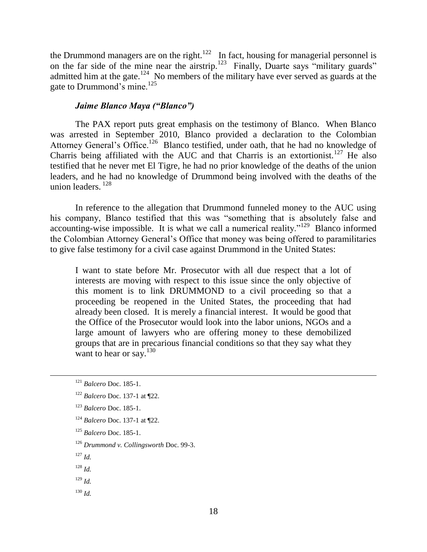the Drummond managers are on the right.<sup>122</sup> In fact, housing for managerial personnel is on the far side of the mine near the airstrip.<sup>123</sup> Finally, Duarte says "military guards" admitted him at the gate.<sup>124</sup> No members of the military have ever served as guards at the gate to Drummond's mine.<sup>125</sup>

#### *Jaime Blanco Maya ("Blanco")*

The PAX report puts great emphasis on the testimony of Blanco. When Blanco was arrested in September 2010, Blanco provided a declaration to the Colombian Attorney General's Office.<sup>126</sup> Blanco testified, under oath, that he had no knowledge of Charris being affiliated with the AUC and that Charris is an extortionist.<sup>127</sup> He also testified that he never met El Tigre, he had no prior knowledge of the deaths of the union leaders, and he had no knowledge of Drummond being involved with the deaths of the union leaders.<sup>128</sup>

In reference to the allegation that Drummond funneled money to the AUC using his company, Blanco testified that this was "something that is absolutely false and accounting-wise impossible. It is what we call a numerical reality."<sup>129</sup> Blanco informed the Colombian Attorney General's Office that money was being offered to paramilitaries to give false testimony for a civil case against Drummond in the United States:

I want to state before Mr. Prosecutor with all due respect that a lot of interests are moving with respect to this issue since the only objective of this moment is to link DRUMMOND to a civil proceeding so that a proceeding be reopened in the United States, the proceeding that had already been closed. It is merely a financial interest. It would be good that the Office of the Prosecutor would look into the labor unions, NGOs and a large amount of lawyers who are offering money to these demobilized groups that are in precarious financial conditions so that they say what they want to hear or say. $130$ 

- <sup>123</sup> *Balcero* Doc. 185-1.
- <sup>124</sup> *Balcero* Doc. 137-1 at ¶22.
- <sup>125</sup> *Balcero* Doc. 185-1.
- <sup>126</sup> *Drummond v. Collingsworth* Doc. 99-3.
- <sup>127</sup> *Id.*

- <sup>128</sup> *Id.*
- <sup>129</sup> *Id.*
- <sup>130</sup> *Id.*

<sup>121</sup> *Balcero* Doc. 185-1.

<sup>122</sup> *Balcero* Doc. 137-1 at ¶22.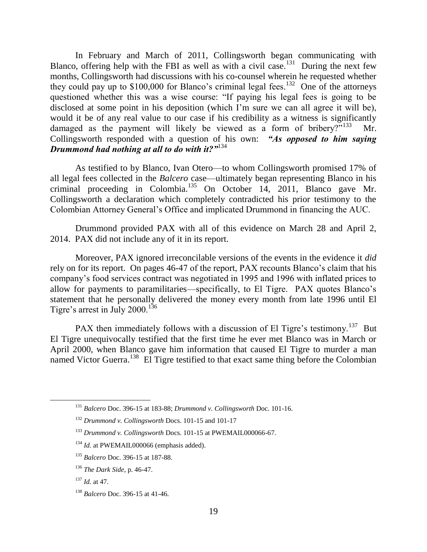In February and March of 2011, Collingsworth began communicating with Blanco, offering help with the FBI as well as with a civil case.<sup>131</sup> During the next few months, Collingsworth had discussions with his co-counsel wherein he requested whether they could pay up to  $$100,000$  for Blanco's criminal legal fees.<sup>132</sup> One of the attorneys questioned whether this was a wise course: "If paying his legal fees is going to be disclosed at some point in his deposition (which I'm sure we can all agree it will be), would it be of any real value to our case if his credibility as a witness is significantly damaged as the payment will likely be viewed as a form of bribery?"<sup>133</sup> Mr. Collingsworth responded with a question of his own: *"As opposed to him saying Drummond had nothing at all to do with it?"*<sup>134</sup>

As testified to by Blanco, Ivan Otero—to whom Collingsworth promised 17% of all legal fees collected in the *Balcero* case—ultimately began representing Blanco in his criminal proceeding in Colombia.<sup>135</sup> On October 14, 2011, Blanco gave Mr. Collingsworth a declaration which completely contradicted his prior testimony to the Colombian Attorney General's Office and implicated Drummond in financing the AUC.

Drummond provided PAX with all of this evidence on March 28 and April 2, 2014. PAX did not include any of it in its report.

Moreover, PAX ignored irreconcilable versions of the events in the evidence it *did*  rely on for its report. On pages 46-47 of the report, PAX recounts Blanco's claim that his company's food services contract was negotiated in 1995 and 1996 with inflated prices to allow for payments to paramilitaries—specifically, to El Tigre. PAX quotes Blanco's statement that he personally delivered the money every month from late 1996 until El Tigre's arrest in July 2000.<sup>136</sup>

PAX then immediately follows with a discussion of El Tigre's testimony.<sup>137</sup> But El Tigre unequivocally testified that the first time he ever met Blanco was in March or April 2000, when Blanco gave him information that caused El Tigre to murder a man named Victor Guerra.<sup>138</sup> El Tigre testified to that exact same thing before the Colombian

<sup>131</sup> *Balcero* Doc. 396-15 at 183-88; *Drummond v. Collingsworth* Doc. 101-16.

<sup>132</sup> *Drummond v. Collingsworth* Docs. 101-15 and 101-17

<sup>133</sup> *Drummond v. Collingsworth* Docs. 101-15 at PWEMAIL000066-67.

<sup>&</sup>lt;sup>134</sup> *Id.* at PWEMAIL000066 (emphasis added).

<sup>135</sup> *Balcero* Doc. 396-15 at 187-88.

<sup>136</sup> *The Dark Side*, p. 46-47.

<sup>137</sup> *Id.* at 47.

<sup>138</sup> *Balcero* Doc. 396-15 at 41-46.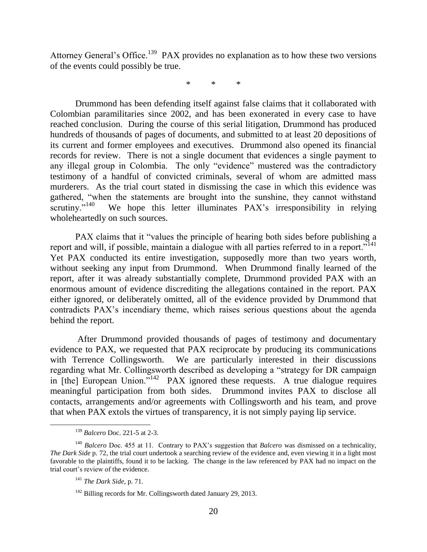Attorney General's Office.<sup>139</sup> PAX provides no explanation as to how these two versions of the events could possibly be true.

\* \* \*

Drummond has been defending itself against false claims that it collaborated with Colombian paramilitaries since 2002, and has been exonerated in every case to have reached conclusion. During the course of this serial litigation, Drummond has produced hundreds of thousands of pages of documents, and submitted to at least 20 depositions of its current and former employees and executives. Drummond also opened its financial records for review. There is not a single document that evidences a single payment to any illegal group in Colombia. The only "evidence" mustered was the contradictory testimony of a handful of convicted criminals, several of whom are admitted mass murderers. As the trial court stated in dismissing the case in which this evidence was gathered, "when the statements are brought into the sunshine, they cannot withstand scrutiny."<sup>140</sup> We hope this letter illuminates PAX's irresponsibility in relying wholeheartedly on such sources.

PAX claims that it "values the principle of hearing both sides before publishing a report and will, if possible, maintain a dialogue with all parties referred to in a report."<sup>141</sup> Yet PAX conducted its entire investigation, supposedly more than two years worth, without seeking any input from Drummond. When Drummond finally learned of the report, after it was already substantially complete, Drummond provided PAX with an enormous amount of evidence discrediting the allegations contained in the report. PAX either ignored, or deliberately omitted, all of the evidence provided by Drummond that contradicts PAX's incendiary theme, which raises serious questions about the agenda behind the report.

After Drummond provided thousands of pages of testimony and documentary evidence to PAX, we requested that PAX reciprocate by producing its communications with Terrence Collingsworth. We are particularly interested in their discussions regarding what Mr. Collingsworth described as developing a "strategy for DR campaign in [the] European Union."<sup>142</sup> PAX ignored these requests. A true dialogue requires meaningful participation from both sides. Drummond invites PAX to disclose all contacts, arrangements and/or agreements with Collingsworth and his team, and prove that when PAX extols the virtues of transparency, it is not simply paying lip service.

<sup>139</sup> *Balcero* Doc. 221-5 at 2-3.

<sup>140</sup> *Balcero* Doc. 455 at 11. Contrary to PAX's suggestion that *Balcero* was dismissed on a technicality, *The Dark Side* p. 72, the trial court undertook a searching review of the evidence and, even viewing it in a light most favorable to the plaintiffs, found it to be lacking. The change in the law referenced by PAX had no impact on the trial court's review of the evidence.

<sup>141</sup> *The Dark Side*, p. 71.

<sup>&</sup>lt;sup>142</sup> Billing records for Mr. Collingsworth dated January 29, 2013.